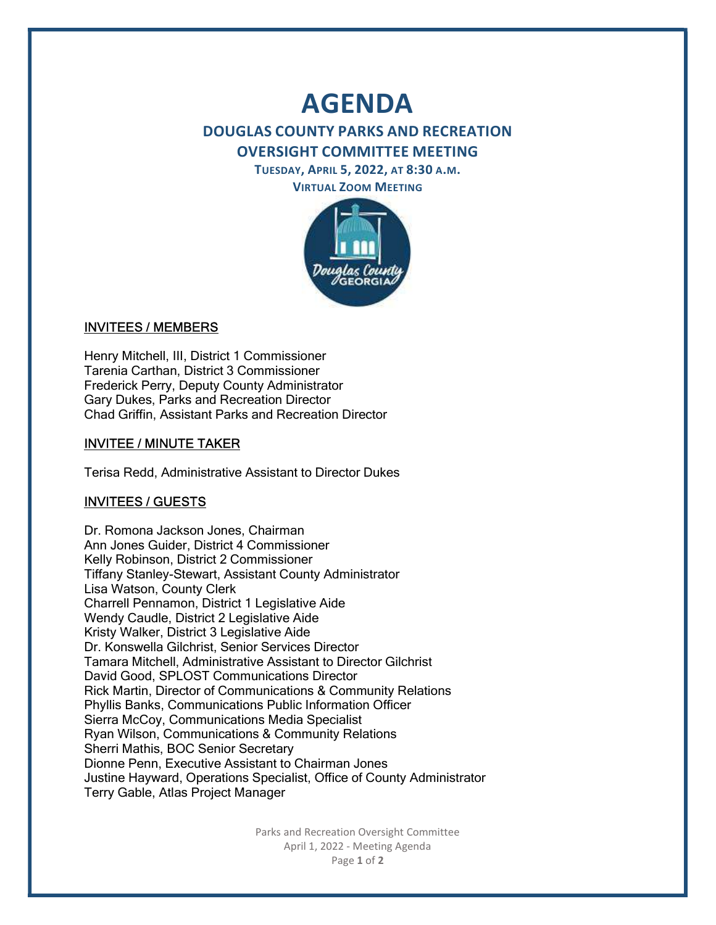# AGENDA

## DOUGLAS COUNTY PARKS AND RECREATION OVERSIGHT COMMITTEE MEETING

TUESDAY, APRIL 5, 2022, AT 8:30 A.M. VIRTUAL ZOOM MEETING



#### INVITEES / MEMBERS

Henry Mitchell, III, District 1 Commissioner Tarenia Carthan, District 3 Commissioner Frederick Perry, Deputy County Administrator Gary Dukes, Parks and Recreation Director Chad Griffin, Assistant Parks and Recreation Director

## INVITEE / MINUTE TAKER

Terisa Redd, Administrative Assistant to Director Dukes

#### INVITEES / GUESTS

Dr. Romona Jackson Jones, Chairman Ann Jones Guider, District 4 Commissioner Kelly Robinson, District 2 Commissioner Tiffany Stanley-Stewart, Assistant County Administrator Lisa Watson, County Clerk Charrell Pennamon, District 1 Legislative Aide Wendy Caudle, District 2 Legislative Aide Kristy Walker, District 3 Legislative Aide Dr. Konswella Gilchrist, Senior Services Director Tamara Mitchell, Administrative Assistant to Director Gilchrist David Good, SPLOST Communications Director Rick Martin, Director of Communications & Community Relations Phyllis Banks, Communications Public Information Officer Sierra McCoy, Communications Media Specialist Ryan Wilson, Communications & Community Relations Sherri Mathis, BOC Senior Secretary Dionne Penn, Executive Assistant to Chairman Jones Justine Hayward, Operations Specialist, Office of County Administrator Terry Gable, Atlas Project Manager

> Parks and Recreation Oversight Committee April 1, 2022 - Meeting Agenda Page 1 of 2